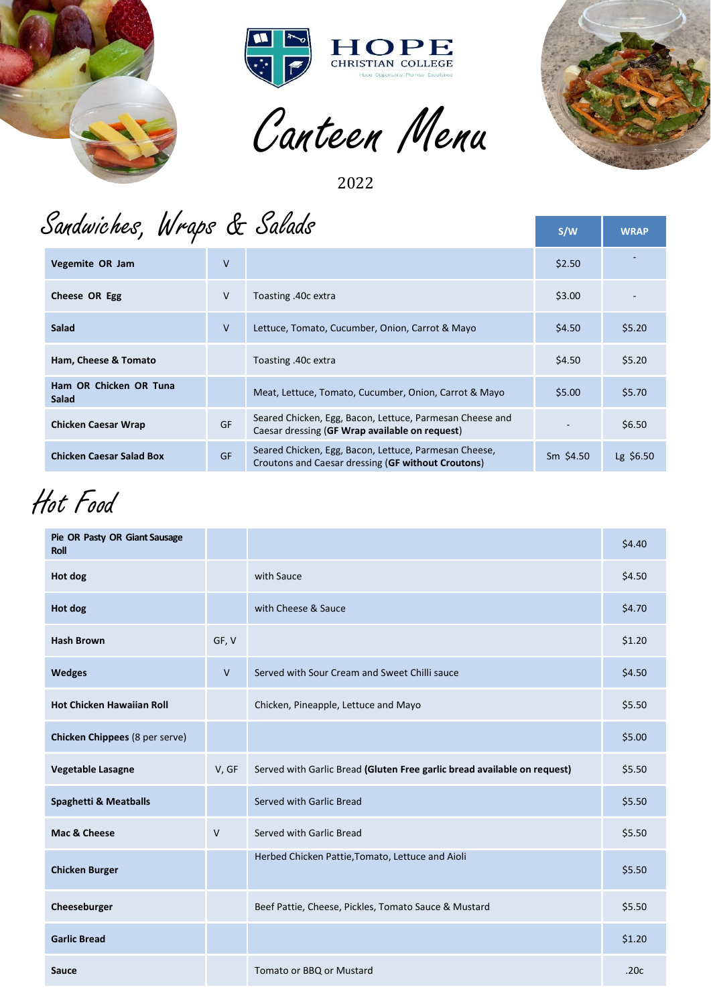



Canteen Menu



2022

## Sandwiches, Wraps & Salads

|                                 |           | Sandwiches, Wraps & Salads                                                                                  | S/W         | <b>WRAP</b> |
|---------------------------------|-----------|-------------------------------------------------------------------------------------------------------------|-------------|-------------|
| Vegemite OR Jam                 | $\vee$    |                                                                                                             | \$2.50      |             |
| Cheese OR Egg                   | V         | Toasting .40c extra                                                                                         | \$3.00      |             |
| <b>Salad</b>                    | V         | Lettuce, Tomato, Cucumber, Onion, Carrot & Mayo                                                             | \$4.50      | \$5.20      |
| Ham, Cheese & Tomato            |           | Toasting .40c extra                                                                                         | \$4.50      | \$5.20      |
| Ham OR Chicken OR Tuna<br>Salad |           | Meat, Lettuce, Tomato, Cucumber, Onion, Carrot & Mayo                                                       | \$5.00      | \$5.70      |
| <b>Chicken Caesar Wrap</b>      | <b>GF</b> | Seared Chicken, Egg, Bacon, Lettuce, Parmesan Cheese and<br>Caesar dressing (GF Wrap available on request)  |             | \$6.50      |
| <b>Chicken Caesar Salad Box</b> | GF        | Seared Chicken, Egg, Bacon, Lettuce, Parmesan Cheese,<br>Croutons and Caesar dressing (GF without Croutons) | $Sm$ \$4.50 | Lg \$6.50   |

Hot Food

| Hot Food                              |        |                                                                          |        |
|---------------------------------------|--------|--------------------------------------------------------------------------|--------|
| Pie OR Pasty OR Giant Sausage<br>Roll |        |                                                                          | \$4.40 |
| Hot dog                               |        | with Sauce                                                               | \$4.50 |
| Hot dog                               |        | with Cheese & Sauce                                                      | \$4.70 |
| <b>Hash Brown</b>                     | GF, V  |                                                                          | \$1.20 |
| <b>Wedges</b>                         | $\vee$ | Served with Sour Cream and Sweet Chilli sauce                            | \$4.50 |
| <b>Hot Chicken Hawaiian Roll</b>      |        | Chicken, Pineapple, Lettuce and Mayo                                     | \$5.50 |
| Chicken Chippees (8 per serve)        |        |                                                                          | \$5.00 |
| Vegetable Lasagne                     | V, GF  | Served with Garlic Bread (Gluten Free garlic bread available on request) | \$5.50 |
| <b>Spaghetti &amp; Meatballs</b>      |        | Served with Garlic Bread                                                 | \$5.50 |
| Mac & Cheese                          | $\vee$ | Served with Garlic Bread                                                 | \$5.50 |
| <b>Chicken Burger</b>                 |        | Herbed Chicken Pattie, Tomato, Lettuce and Aioli                         | \$5.50 |
| Cheeseburger                          |        | Beef Pattie, Cheese, Pickles, Tomato Sauce & Mustard                     | \$5.50 |
| <b>Garlic Bread</b>                   |        |                                                                          | \$1.20 |
| Sauce                                 |        | Tomato or BBQ or Mustard                                                 | .20c   |
|                                       |        |                                                                          |        |